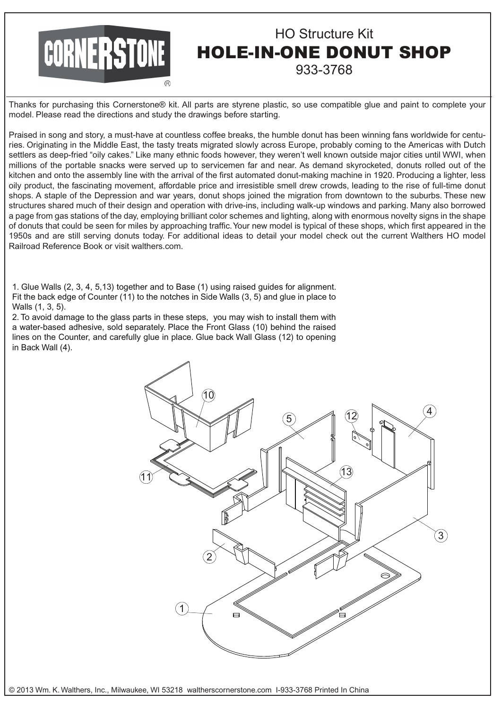## **CORNERSTONE**

## HO Structure Kit HOLE-IN-ONE DONUT SHOP 933-3768

Thanks for purchasing this Cornerstone® kit. All parts are styrene plastic, so use compatible glue and paint to complete your model. Please read the directions and study the drawings before starting.

Praised in song and story, a must-have at countless coffee breaks, the humble donut has been winning fans worldwide for centuries. Originating in the Middle East, the tasty treats migrated slowly across Europe, probably coming to the Americas with Dutch settlers as deep-fried "oily cakes." Like many ethnic foods however, they weren't well known outside major cities until WWI, when millions of the portable snacks were served up to servicemen far and near. As demand skyrocketed, donuts rolled out of the kitchen and onto the assembly line with the arrival of the first automated donut-making machine in 1920. Producing a lighter, less oily product, the fascinating movement, affordable price and irresistible smell drew crowds, leading to the rise of full-time donut shops. A staple of the Depression and war years, donut shops joined the migration from downtown to the suburbs. These new structures shared much of their design and operation with drive-ins, including walk-up windows and parking. Many also borrowed a page from gas stations of the day, employing brilliant color schemes and lighting, along with enormous novelty signs in the shape of donuts that could be seen for miles by approaching traffic. Your new model is typical of these shops, which first appeared in the 1950s and are still serving donuts today. For additional ideas to detail your model check out the current Walthers HO model Railroad Reference Book or visit walthers.com.

1. Glue Walls (2, 3, 4, 5,13) together and to Base (1) using raised guides for alignment. Fit the back edge of Counter (11) to the notches in Side Walls (3, 5) and glue in place to Walls (1, 3, 5).

2. To avoid damage to the glass parts in these steps, you may wish to install them with a water-based adhesive, sold separately. Place the Front Glass (10) behind the raised lines on the Counter, and carefully glue in place. Glue back Wall Glass (12) to opening in Back Wall (4).